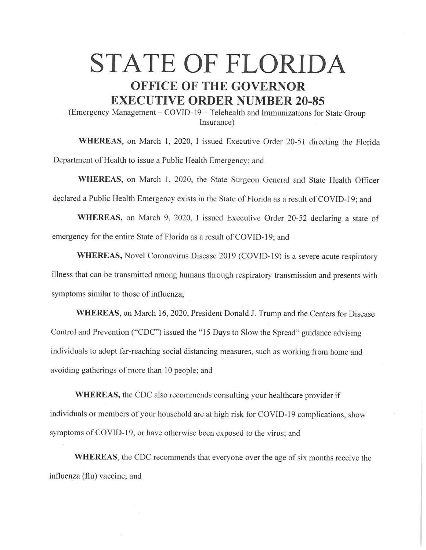## **STATE OF FLORIDA OFFICE OF THE GOVERNOR EXECUTIVE ORDER NUMBER 20-85**

(Emergency Management - COVID-19- Telehealth and Immunizations for State Group Insurance)

**WHEREAS,** on March I, 2020, I issued Executive Order 20-51 directing the Florida Department of Health to issue a Public Health Emergency; and

**WHEREAS,** on March I, 2020, the State Surgeon General and State Health Officer declared a Public Health Emergency exists in the State of Florida as a result of COVID-19; and

**WHEREAS,** on March 9, 2020, I issued Executive Order 20-52 declaring a state of emergency for the entire State of Florida as a result of COVID-19; and

WHEREAS, Novel Coronavirus Disease 2019 (COVID-19) is a severe acute respiratory illness that can be transmitted among humans through respiratory transmission and presents with symptoms similar to those of influenza;

**WHEREAS,** on March 16, 2020, President Donald J. Trump and the Centers for Disease Control and Prevention ("CDC") issued the "15 Days to Slow the Spread" guidance advising individuals to adopt far-reaching social distancing measures, such as working from home and avoiding gatherings of more than 10 people; and

**WHEREAS,** the CDC also recommends consulting your healthcare provider if individuals or members of your household are at high risk for COVID-19 complications, show symptoms of COVID-19, or have otherwise been exposed to the virus; and

**WHEREAS,** the CDC recommends that everyone over the age of six months receive the influenza (flu) vaccine; and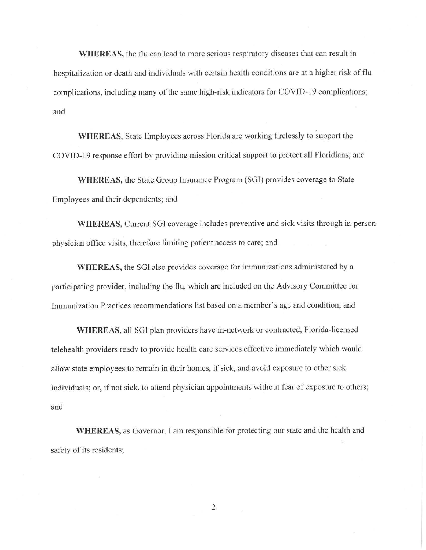**WHEREAS,** the flu can lead to more serious respiratory diseases that can result in hospitalization or death and individuals with certain health conditions are at a higher risk of flu complications, including many of the same high-risk indicators for COVID-19 complications; and

**WHEREAS,** State Employees across Florida are working tirelessly to support the COVID-19 response effort by providing mission critical support to protect all Floridians; and

**WHEREAS,** the State Group Insurance Program (SGI) provides coverage to State Employees and their dependents; and

**WHEREAS,** Current SGI coverage includes preventive and sick visits through in-person physician office visits, therefore limiting patient access to care; and

**WHEREAS,** the SGI also provides coverage for immunizations administered by a participating provider, including the flu, which are included on the Advisory Committee for Immunization Practices recommendations list based on a member's age and condition; and

**WHEREAS,** all SGI plan providers have in-network or contracted, Florida-licensed telehealth providers ready to provide health care services effective immediately which would allow state employees to remain in their homes, if sick, and avoid exposure to other sick individuals; or, if not sick, to attend physician appointments without fear of exposure to others; and

**WHEREAS,** as Governor, I am responsible for protecting our state and the health and safety of its residents;

2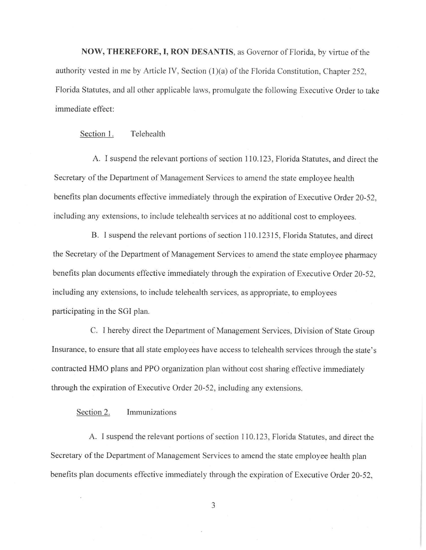**NOW, THEREFORE, I, RON DESANTIS,** as Governor of Florida, by virtue of the authority vested in me by Article IV, Section (1)(a) of the Florida Constitution, Chapter 252. Florida Statutes, and all other applicable laws, promulgate the following Executive Order to take immediate effect:

Section 1. Telehealth

A. I suspend the relevant portions of section 110. 123, Florida Statutes, and direct the Secretary of the Department of Management Services to amend the state employee health benefits plan documents effective immediately through the expiration of Executive Order 20-52, including any extensions, to include telehealth services at no additional cost to employees.

B. I suspend the relevant portions of section 110.12315, Florida Statutes, and direct the Secretary of the Department of Management Services to amend the state employee pharmacy benefits plan documents effective immediately through the expiration of Executive Order 20-52, including any extensions, to include telehealth services, as appropriate, to employees participating in the SOI plan.

C. I hereby direct the Department of Management Services, Division of State Group Insurance, to ensure that all state employees have access to telehealth services through the state's contracted HMO plans and PPO organization plan without cost sharing effective immediately through the expiration of Executive Order 20-52, including any extensions.

Section 2. Immunizations

A. I suspend the relevant portions of section 110.123, Florida Statutes, and direct the Secretary of the Department of Management Services to amend the state employee health plan benefits plan documents effective immediately through the expiration of Executive Order 20-52,

3